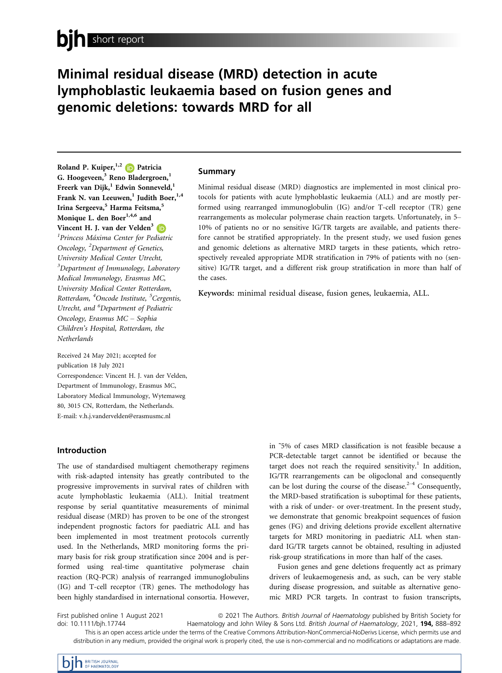# Minimal residual disease (MRD) detection in acute lymphoblastic leukaemia based on fusion genes and genomic deletions: towards MRD for all

Roland P. Kuiper,  $^{1,2}$  **Patricia** G. Hoogeveen, $3$  Reno Bladergroen, $1$ Freerk van Dijk,<sup>1</sup> Edwin Sonneveld,<sup>1</sup> Frank N. van Leeuwen,<sup>1</sup> Judith Boer,<sup>1,4</sup> Irina Sergeeva,<sup>5</sup> Harma Feitsma,<sup>5</sup> Monique L. den Boer<sup>1,4,6</sup> and Vincent H. J. van der Velden<sup>[3](https://orcid.org/0000-0001-9457-3763)</sup> <sup>1</sup> Princess Máxima Center for Pediatric Oncology, <sup>2</sup>Department of Genetics, University Medical Center Utrecht, <sup>3</sup>Department of Immunology, Laboratory Medical Immunology, Erasmus MC, University Medical Center Rotterdam, Rotterdam, <sup>4</sup>Oncode Institute, <sup>5</sup>Cergentis, Utrecht, and <sup>6</sup>Department of Pediatric Oncology, Erasmus MC – Sophia Children's Hospital, Rotterdam, the **Netherlands** 

Received 24 May 2021; accepted for publication 18 July 2021 Correspondence: Vincent H. J. van der Velden, Department of Immunology, Erasmus MC, Laboratory Medical Immunology, Wytemaweg 80, 3015 CN, Rotterdam, the Netherlands. E-mail: [v.h.j.vandervelden@erasmusmc.nl](mailto:)

### Introduction

The use of standardised multiagent chemotherapy regimens with risk-adapted intensity has greatly contributed to the progressive improvements in survival rates of children with acute lymphoblastic leukaemia (ALL). Initial treatment response by serial quantitative measurements of minimal residual disease (MRD) has proven to be one of the strongest independent prognostic factors for paediatric ALL and has been implemented in most treatment protocols currently used. In the Netherlands, MRD monitoring forms the primary basis for risk group stratification since 2004 and is performed using real-time quantitative polymerase chain reaction (RQ-PCR) analysis of rearranged immunoglobulins (IG) and T-cell receptor (TR) genes. The methodology has been highly standardised in international consortia. However, in ˜5% of cases MRD classification is not feasible because a PCR-detectable target cannot be identified or because the target does not reach the required sensitivity.<sup>1</sup> In addition, IG/TR rearrangements can be oligoclonal and consequently can be lost during the course of the disease. $2-4$  Consequently, the MRD-based stratification is suboptimal for these patients, with a risk of under- or over-treatment. In the present study, we demonstrate that genomic breakpoint sequences of fusion genes (FG) and driving deletions provide excellent alternative targets for MRD monitoring in paediatric ALL when standard IG/TR targets cannot be obtained, resulting in adjusted risk-group stratifications in more than half of the cases.

Fusion genes and gene deletions frequently act as primary drivers of leukaemogenesis and, as such, can be very stable during disease progression, and suitable as alternative genomic MRD PCR targets. In contrast to fusion transcripts,

First published online 1 August 2021 doi: 10.1111/bjh.17744

<sup>ª</sup> 2021 The Authors. British Journal of Haematology published by British Society for Haematology and John Wiley & Sons Ltd. British Journal of Haematology, 2021, 194, 888-892

This is an open access article under the terms of the [Creative Commons Attribution-NonCommercial-NoDerivs](http://creativecommons.org/licenses/by-nc-nd/4.0/) License, which permits use and distribution in any medium, provided the original work is properly cited, the use is non-commercial and no modifications or adaptations are made.

# Summary

Minimal residual disease (MRD) diagnostics are implemented in most clinical protocols for patients with acute lymphoblastic leukaemia (ALL) and are mostly performed using rearranged immunoglobulin (IG) and/or T-cell receptor (TR) gene rearrangements as molecular polymerase chain reaction targets. Unfortunately, in 5– 10% of patients no or no sensitive IG/TR targets are available, and patients therefore cannot be stratified appropriately. In the present study, we used fusion genes and genomic deletions as alternative MRD targets in these patients, which retrospectively revealed appropriate MDR stratification in 79% of patients with no (sensitive) IG/TR target, and a different risk group stratification in more than half of the cases.

Keywords: minimal residual disease, fusion genes, leukaemia, ALL.

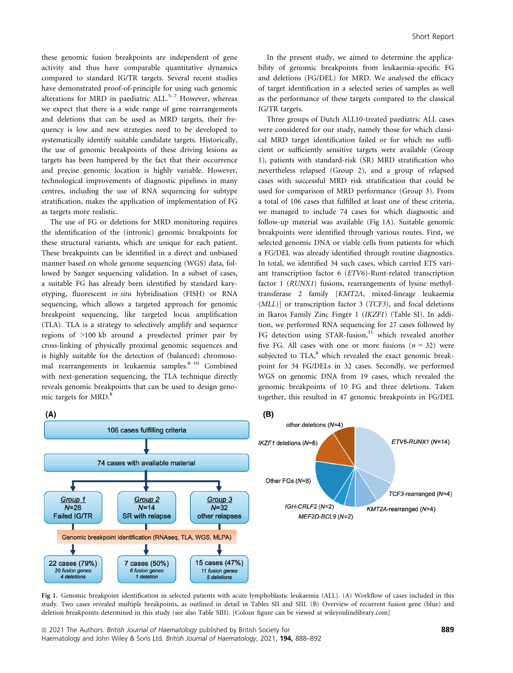these genomic fusion breakpoints are independent of gene activity and thus have comparable quantitative dynamics compared to standard IG/TR targets. Several recent studies have demonstrated proof-of-principle for using such genomic alterations for MRD in paediatric  $ALL<sup>5-7</sup>$  However, whereas we expect that there is a wide range of gene rearrangements and deletions that can be used as MRD targets, their frequency is low and new strategies need to be developed to systematically identify suitable candidate targets. Historically, the use of genomic breakpoints of these driving lesions as targets has been hampered by the fact that their occurrence and precise genomic location is highly variable. However, technological improvements of diagnostic pipelines in many centres, including the use of RNA sequencing for subtype stratification, makes the application of implementation of FG as targets more realistic.

The use of FG or deletions for MRD monitoring requires the identification of the (intronic) genomic breakpoints for these structural variants, which are unique for each patient. These breakpoints can be identified in a direct and unbiased manner based on whole genome sequencing (WGS) data, followed by Sanger sequencing validation. In a subset of cases, a suitable FG has already been identified by standard karyotyping, fluorescent in situ hybridisation (FISH) or RNA sequencing, which allows a targeted approach for genomic breakpoint sequencing, like targeted locus amplification (TLA). TLA is a strategy to selectively amplify and sequence regions of >100 kb around a preselected primer pair by cross-linking of physically proximal genomic sequences and is highly suitable for the detection of (balanced) chromosomal rearrangements in leukaemia samples. $8-10$  Combined with next-generation sequencing, the TLA technique directly reveals genomic breakpoints that can be used to design genomic targets for MRD.<sup>8</sup>

In the present study, we aimed to determine the applicability of genomic breakpoints from leukaemia-specific FG and deletions (FG/DEL) for MRD. We analysed the efficacy of target identification in a selected series of samples as well as the performance of these targets compared to the classical IG/TR targets.

Three groups of Dutch ALL10-treated paediatric ALL cases were considered for our study, namely those for which classical MRD target identification failed or for which no sufficient or sufficiently sensitive targets were available (Group 1), patients with standard-risk (SR) MRD stratification who nevertheless relapsed (Group 2), and a group of relapsed cases with successful MRD risk stratification that could be used for comparison of MRD performance (Group 3). From a total of 106 cases that fulfilled at least one of these criteria, we managed to include 74 cases for which diagnostic and follow-up material was available (Fig 1A). Suitable genomic breakpoints were identified through various routes. First, we selected genomic DNA or viable cells from patients for which a FG/DEL was already identified through routine diagnostics. In total, we identified 34 such cases, which carried ETS variant transcription factor 6 (ETV6)-Runt-related transcription factor 1 (RUNX1) fusions, rearrangements of lysine methyltransferase 2 family [KMT2A, mixed-lineage leukaemia (MLL)] or transcription factor 3 (TCF3), and focal deletions in Ikaros Family Zinc Finger 1 (IKZF1) (Table SI). In addition, we performed RNA sequencing for 27 cases followed by FG detection using STAR-fusion,<sup>11</sup> which revealed another five FG. All cases with one or more fusions ( $n = 32$ ) were subjected to  $TLA$ ,<sup>8</sup> which revealed the exact genomic breakpoint for 34 FG/DELs in 32 cases. Secondly, we performed WGS on genomic DNA from 19 cases, which revealed the genomic breakpoints of 10 FG and three deletions. Taken together, this resulted in 47 genomic breakpoints in FG/DEL



Fig 1. Genomic breakpoint identification in selected patients with acute lymphoblastic leukaemia (ALL). (A) Workflow of cases included in this study. Two cases revealed multiple breakpoints, as outlined in detail in Tables SII and SIII. (B) Overview of recurrent fusion gene (blue) and deletion breakpoints determined in this study (see also Table SIII). [Colour figure can be viewed at [wileyonlinelibrary.com](www.wileyonlinelibrary.com)]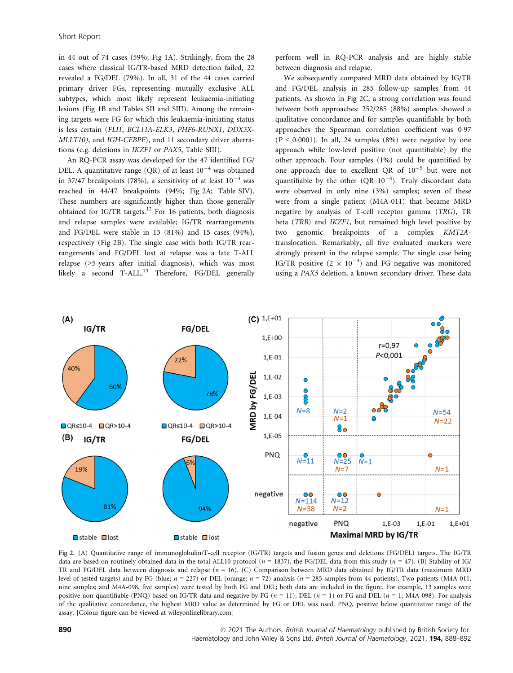in 44 out of 74 cases (59%; Fig 1A). Strikingly, from the 28 cases where classical IG/TR-based MRD detection failed, 22 revealed a FG/DEL (79%). In all, 31 of the 44 cases carried primary driver FGs, representing mutually exclusive ALL subtypes, which most likely represent leukaemia-initiating lesions (Fig 1B and Tables SII and SIII). Among the remaining targets were FG for which this leukaemia-initiating status is less certain (FLI1, BCL11A-ELK3, PHF6-RUNX1, DDX3X-MLLT10), and IGH-CEBPE), and 11 secondary driver aberrations (e.g. deletions in IKZF1 or PAX5, Table SIII).

An RQ-PCR assay was developed for the 47 identified FG/ DEL. A quantitative range (QR) of at least  $10^{-4}$  was obtained in 37/47 breakpoints (78%), a sensitivity of at least  $10^{-4}$  was reached in 44/47 breakpoints (94%; Fig 2A; Table SIV). These numbers are significantly higher than those generally obtained for IG/TR targets.<sup>12</sup> For 16 patients, both diagnosis and relapse samples were available; IG/TR rearrangements and FG/DEL were stable in 13 (81%) and 15 cases (94%), respectively (Fig 2B). The single case with both IG/TR rearrangements and FG/DEL lost at relapse was a late T-ALL relapse (>5 years after initial diagnosis), which was most likely a second  $T-ALL$ <sup>13</sup> Therefore, FG/DEL generally perform well in RQ-PCR analysis and are highly stable between diagnosis and relapse.

We subsequently compared MRD data obtained by IG/TR and FG/DEL analysis in 285 follow-up samples from 44 patients. As shown in Fig 2C, a strong correlation was found between both approaches: 252/285 (88%) samples showed a qualitative concordance and for samples quantifiable by both approaches the Spearman correlation coefficient was 0.97  $(P < 0.0001)$ . In all, 24 samples  $(8\%)$  were negative by one approach while low-level positive (not quantifiable) by the other approach. Four samples (1%) could be quantified by one approach due to excellent QR of  $10^{-5}$  but were not quantifiable by the other  $(QR 10^{-4})$ . Truly discordant data were observed in only nine (3%) samples; seven of these were from a single patient (M4A-011) that became MRD negative by analysis of T-cell receptor gamma (TRG), TR beta (TRB) and IKZF1, but remained high level positive by two genomic breakpoints of a complex KMT2Atranslocation. Remarkably, all five evaluated markers were strongly present in the relapse sample. The single case being IG/TR positive  $(2 \times 10^{-4})$  and FG negative was monitored using a PAX5 deletion, a known secondary driver. These data



Fig 2. (A) Quantitative range of immunoglobulin/T-cell receptor (IG/TR) targets and fusion genes and deletions (FG/DEL) targets. The IG/TR data are based on routinely obtained data in the total ALL10 protocol ( $n = 1837$ ), the FG/DEL data from this study ( $n = 47$ ). (B) Stability of IG/ TR and FG/DEL data between diagnosis and relapse  $(n = 16)$ . (C) Comparison between MRD data obtained by IG/TR data (maximum MRD level of tested targets) and by FG (blue;  $n = 227$ ) or DEL (orange;  $n = 72$ ) analysis ( $n = 285$  samples from 44 patients). Two patients (M4A-011, nine samples; and M4A-098, five samples) were tested by both FG and DEL; both data are included in the figure. For example, 13 samples were positive non-quantifiable (PNQ) based on IG/TR data and negative by FG  $(n = 11)$ , DEL  $(n = 1)$  or FG and DEL  $(n = 1; M4A-098)$ . For analysis of the qualitative concordance, the highest MRD value as determined by FG or DEL was used. PNQ, positive below quantitative range of the assay. [Colour figure can be viewed at [wileyonlinelibrary.com\]](www.wileyonlinelibrary.com)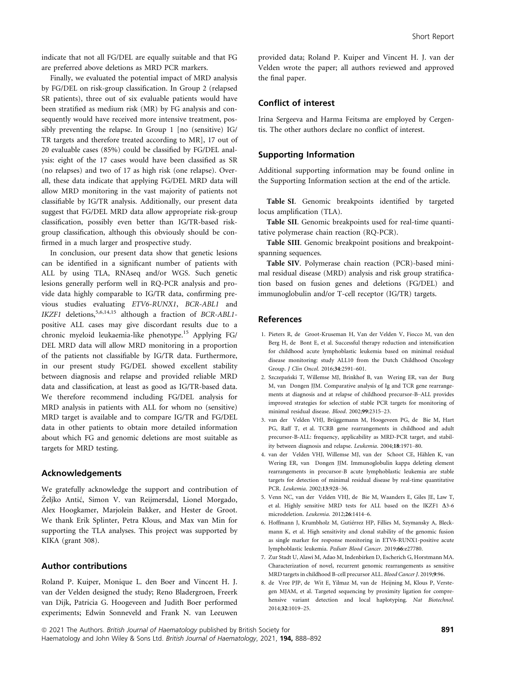indicate that not all FG/DEL are equally suitable and that FG are preferred above deletions as MRD PCR markers.

Finally, we evaluated the potential impact of MRD analysis by FG/DEL on risk-group classification. In Group 2 (relapsed SR patients), three out of six evaluable patients would have been stratified as medium risk (MR) by FG analysis and consequently would have received more intensive treatment, possibly preventing the relapse. In Group 1 [no (sensitive) IG/ TR targets and therefore treated according to MR], 17 out of 20 evaluable cases (85%) could be classified by FG/DEL analysis: eight of the 17 cases would have been classified as SR (no relapses) and two of 17 as high risk (one relapse). Overall, these data indicate that applying FG/DEL MRD data will allow MRD monitoring in the vast majority of patients not classifiable by IG/TR analysis. Additionally, our present data suggest that FG/DEL MRD data allow appropriate risk-group classification, possibly even better than IG/TR-based riskgroup classification, although this obviously should be confirmed in a much larger and prospective study.

In conclusion, our present data show that genetic lesions can be identified in a significant number of patients with ALL by using TLA, RNAseq and/or WGS. Such genetic lesions generally perform well in RQ-PCR analysis and provide data highly comparable to IG/TR data, confirming previous studies evaluating ETV6-RUNX1, BCR-ABL1 and IKZF1 deletions,<sup>5,6,14,15</sup> although a fraction of BCR-ABL1positive ALL cases may give discordant results due to a chronic myeloid leukaemia-like phenotype.15 Applying FG/ DEL MRD data will allow MRD monitoring in a proportion of the patients not classifiable by IG/TR data. Furthermore, in our present study FG/DEL showed excellent stability between diagnosis and relapse and provided reliable MRD data and classification, at least as good as IG/TR-based data. We therefore recommend including FG/DEL analysis for MRD analysis in patients with ALL for whom no (sensitive) MRD target is available and to compare IG/TR and FG/DEL data in other patients to obtain more detailed information about which FG and genomic deletions are most suitable as targets for MRD testing.

#### Acknowledgements

We gratefully acknowledge the support and contribution of Željko Antić, Simon V. van Reijmersdal, Lionel Morgado, Alex Hoogkamer, Marjolein Bakker, and Hester de Groot. We thank Erik Splinter, Petra Klous, and Max van Min for supporting the TLA analyses. This project was supported by KIKA (grant 308).

# Author contributions

Roland P. Kuiper, Monique L. den Boer and Vincent H. J. van der Velden designed the study; Reno Bladergroen, Freerk van Dijk, Patricia G. Hoogeveen and Judith Boer performed experiments; Edwin Sonneveld and Frank N. van Leeuwen provided data; Roland P. Kuiper and Vincent H. J. van der Velden wrote the paper; all authors reviewed and approved the final paper.

### Conflict of interest

Irina Sergeeva and Harma Feitsma are employed by Cergentis. The other authors declare no conflict of interest.

### Supporting Information

Additional supporting information may be found online in the Supporting Information section at the end of the article.

Table SI. Genomic breakpoints identified by targeted locus amplification (TLA).

Table SII. Genomic breakpoints used for real-time quantitative polymerase chain reaction (RQ-PCR).

Table SIII. Genomic breakpoint positions and breakpointspanning sequences.

Table SIV. Polymerase chain reaction (PCR)-based minimal residual disease (MRD) analysis and risk group stratification based on fusion genes and deletions (FG/DEL) and immunoglobulin and/or T-cell receptor (IG/TR) targets.

# References

- 1. Pieters R, de Groot-Kruseman H, Van der Velden V, Fiocco M, van den Berg H, de Bont E, et al. Successful therapy reduction and intensification for childhood acute lymphoblastic leukemia based on minimal residual disease monitoring: study ALL10 from the Dutch Childhood Oncology Group. J Clin Oncol. 2016;34:2591–601.
- 2. Szczepanski T, Willemse MJ, Brinkhof B, van Wering ER, van der Burg M, van Dongen JJM. Comparative analysis of Ig and TCR gene rearrangements at diagnosis and at relapse of childhood precursor-B–ALL provides improved strategies for selection of stable PCR targets for monitoring of minimal residual disease. Blood. 2002;99:2315–23.
- 3. van der Velden VHJ, Brüggemann M, Hoogeveen PG, de Bie M, Hart PG, Raff T, et al. TCRB gene rearrangements in childhood and adult precursor-B-ALL: frequency, applicability as MRD-PCR target, and stability between diagnosis and relapse. Leukemia. 2004;18:1971–80.
- 4. van der Velden VHJ, Willemse MJ, van der Schoot CE, Hählen K, van Wering ER, van Dongen JJM. Immunoglobulin kappa deleting element rearrangements in precursor-B acute lymphoblastic leukemia are stable targets for detection of minimal residual disease by real-time quantitative PCR. Leukemia. 2002;13:928–36.
- 5. Venn NC, van der Velden VHJ, de Bie M, Waanders E, Giles JE, Law T, et al. Highly sensitive MRD tests for ALL based on the IKZF1  $\Delta$ 3-6 microdeletion. Leukemia. 2012;26:1414–6.
- 6. Hoffmann J, Krumbholz M, Gutierrez HP, Fillies M, Szymansky A, Bleckmann K, et al. High sensitivity and clonal stability of the genomic fusion as single marker for response monitoring in ETV6-RUNX1-positive acute lymphoblastic leukemia. Pediatr Blood Cancer. 2019;66:e27780.
- 7. Zur Stadt U, Alawi M, Adao M, Indenbirken D, Escherich G, Horstmann MA. Characterization of novel, recurrent genomic rearrangements as sensitive MRD targets in childhood B-cell precursor ALL. Blood Cancer J. 2019;9:96.
- 8. de Vree PJP, de Wit E, Yilmaz M, van de Heijning M, Klous P, Verstegen MJAM, et al. Targeted sequencing by proximity ligation for comprehensive variant detection and local haplotyping. Nat Biotechnol. 2014;32:1019–25.